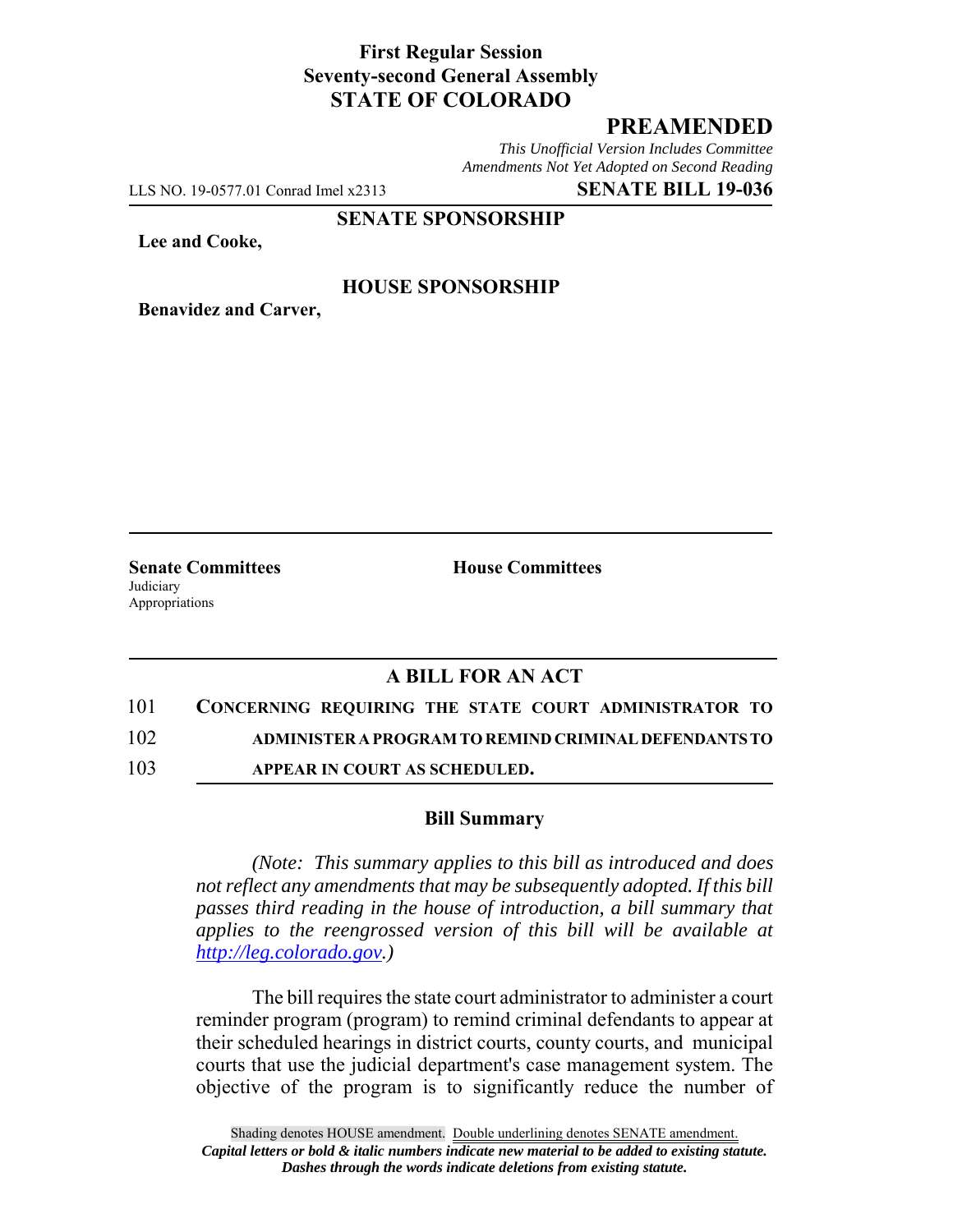### **First Regular Session Seventy-second General Assembly STATE OF COLORADO**

# **PREAMENDED**

*This Unofficial Version Includes Committee Amendments Not Yet Adopted on Second Reading*

LLS NO. 19-0577.01 Conrad Imel x2313 **SENATE BILL 19-036**

**SENATE SPONSORSHIP**

**Lee and Cooke,**

#### **HOUSE SPONSORSHIP**

**Benavidez and Carver,**

**Judiciary** Appropriations

**Senate Committees House Committees** 

# **A BILL FOR AN ACT**

101 **CONCERNING REQUIRING THE STATE COURT ADMINISTRATOR TO**

102 **ADMINISTER A PROGRAM TO REMIND CRIMINAL DEFENDANTS TO**

103 **APPEAR IN COURT AS SCHEDULED.**

#### **Bill Summary**

*(Note: This summary applies to this bill as introduced and does not reflect any amendments that may be subsequently adopted. If this bill passes third reading in the house of introduction, a bill summary that applies to the reengrossed version of this bill will be available at http://leg.colorado.gov.)*

The bill requires the state court administrator to administer a court reminder program (program) to remind criminal defendants to appear at their scheduled hearings in district courts, county courts, and municipal courts that use the judicial department's case management system. The objective of the program is to significantly reduce the number of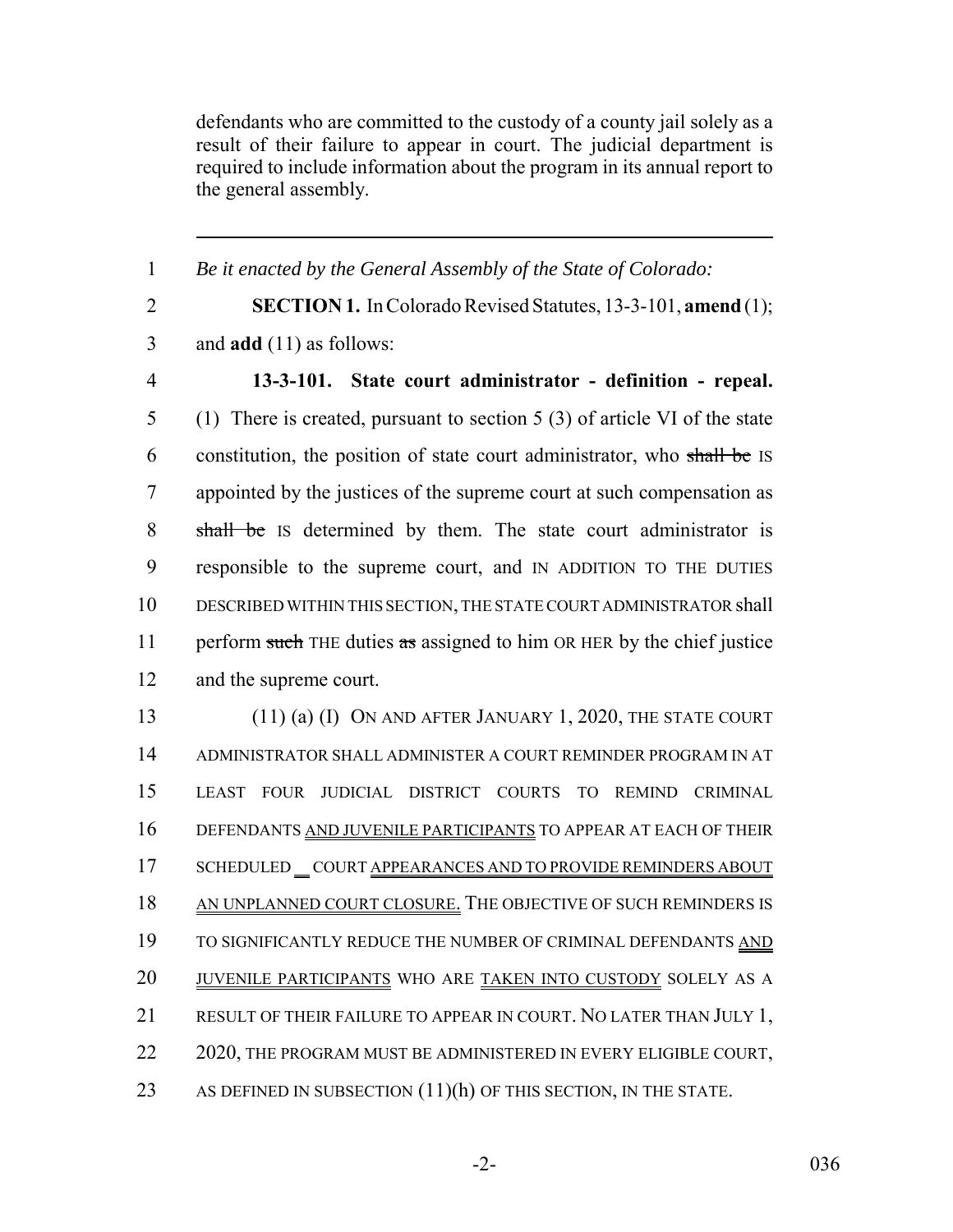defendants who are committed to the custody of a county jail solely as a result of their failure to appear in court. The judicial department is required to include information about the program in its annual report to the general assembly.

1 *Be it enacted by the General Assembly of the State of Colorado:* 2 **SECTION 1.** In Colorado Revised Statutes, 13-3-101, **amend** (1); 3 and **add** (11) as follows: 4 **13-3-101. State court administrator - definition - repeal.** 5 (1) There is created, pursuant to section 5 (3) of article VI of the state 6 constitution, the position of state court administrator, who shall be IS 7 appointed by the justices of the supreme court at such compensation as 8 shall be IS determined by them. The state court administrator is 9 responsible to the supreme court, and IN ADDITION TO THE DUTIES 10 DESCRIBED WITHIN THIS SECTION, THE STATE COURT ADMINISTRATOR shall 11 perform such THE duties as assigned to him OR HER by the chief justice 12 and the supreme court. 13 (11) (a) (I) ON AND AFTER JANUARY 1, 2020, THE STATE COURT 14 ADMINISTRATOR SHALL ADMINISTER A COURT REMINDER PROGRAM IN AT 15 LEAST FOUR JUDICIAL DISTRICT COURTS TO REMIND CRIMINAL 16 DEFENDANTS AND JUVENILE PARTICIPANTS TO APPEAR AT EACH OF THEIR 17 SCHEDULED \_COURT APPEARANCES AND TO PROVIDE REMINDERS ABOUT 18 AN UNPLANNED COURT CLOSURE. THE OBJECTIVE OF SUCH REMINDERS IS 19 TO SIGNIFICANTLY REDUCE THE NUMBER OF CRIMINAL DEFENDANTS AND 20 JUVENILE PARTICIPANTS WHO ARE TAKEN INTO CUSTODY SOLELY AS A 21 RESULT OF THEIR FAILURE TO APPEAR IN COURT. NO LATER THAN JULY 1, 22 2020, THE PROGRAM MUST BE ADMINISTERED IN EVERY ELIGIBLE COURT, 23 AS DEFINED IN SUBSECTION (11)(h) OF THIS SECTION, IN THE STATE.

-2- 036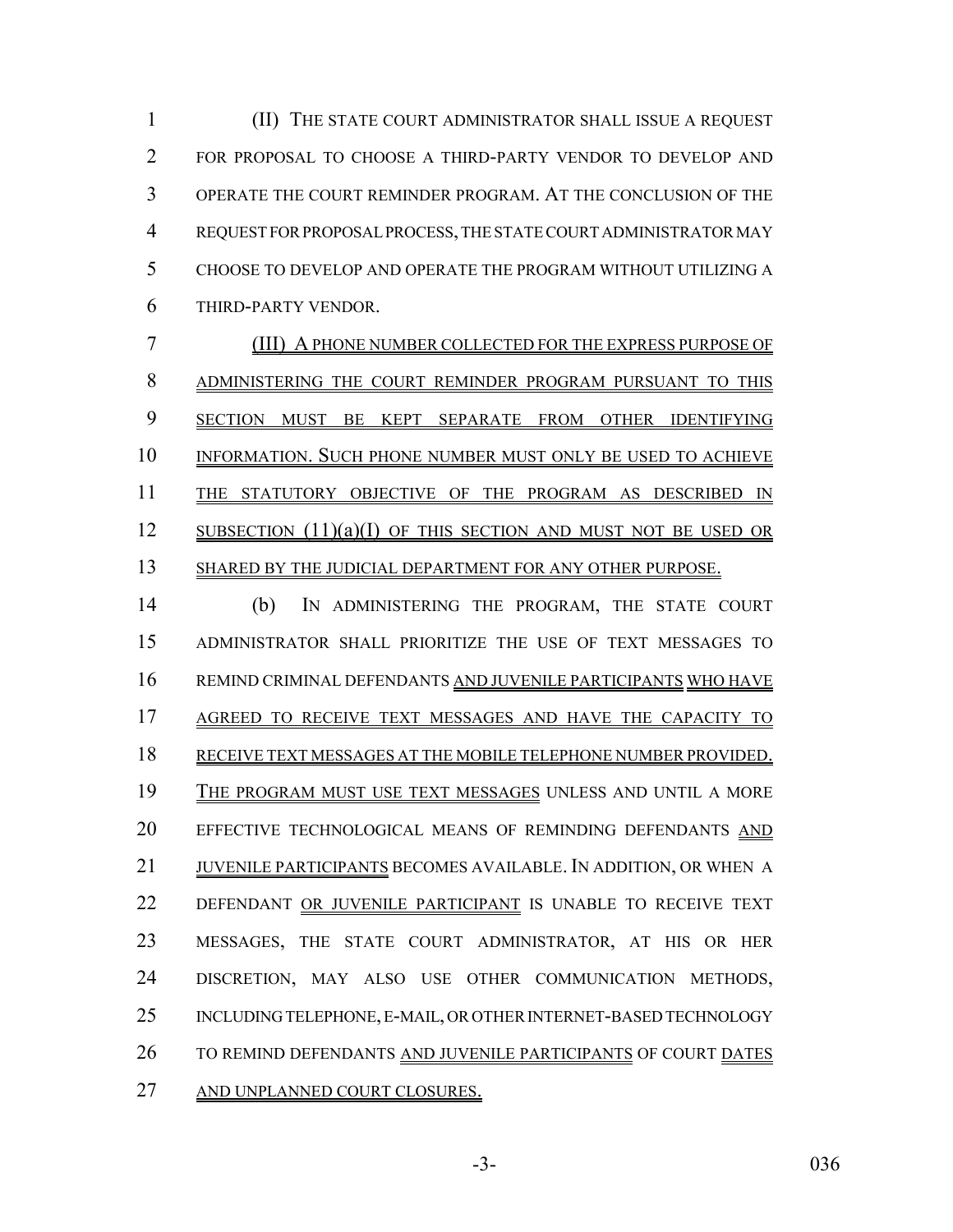(II) THE STATE COURT ADMINISTRATOR SHALL ISSUE A REQUEST FOR PROPOSAL TO CHOOSE A THIRD-PARTY VENDOR TO DEVELOP AND OPERATE THE COURT REMINDER PROGRAM. AT THE CONCLUSION OF THE REQUEST FOR PROPOSAL PROCESS, THE STATE COURT ADMINISTRATOR MAY CHOOSE TO DEVELOP AND OPERATE THE PROGRAM WITHOUT UTILIZING A THIRD-PARTY VENDOR.

 (III) A PHONE NUMBER COLLECTED FOR THE EXPRESS PURPOSE OF ADMINISTERING THE COURT REMINDER PROGRAM PURSUANT TO THIS SECTION MUST BE KEPT SEPARATE FROM OTHER IDENTIFYING INFORMATION. SUCH PHONE NUMBER MUST ONLY BE USED TO ACHIEVE THE STATUTORY OBJECTIVE OF THE PROGRAM AS DESCRIBED IN 12 SUBSECTION (11)(a)(I) OF THIS SECTION AND MUST NOT BE USED OR 13 SHARED BY THE JUDICIAL DEPARTMENT FOR ANY OTHER PURPOSE.

 (b) IN ADMINISTERING THE PROGRAM, THE STATE COURT ADMINISTRATOR SHALL PRIORITIZE THE USE OF TEXT MESSAGES TO REMIND CRIMINAL DEFENDANTS AND JUVENILE PARTICIPANTS WHO HAVE AGREED TO RECEIVE TEXT MESSAGES AND HAVE THE CAPACITY TO RECEIVE TEXT MESSAGES AT THE MOBILE TELEPHONE NUMBER PROVIDED. THE PROGRAM MUST USE TEXT MESSAGES UNLESS AND UNTIL A MORE EFFECTIVE TECHNOLOGICAL MEANS OF REMINDING DEFENDANTS AND JUVENILE PARTICIPANTS BECOMES AVAILABLE. IN ADDITION, OR WHEN A DEFENDANT OR JUVENILE PARTICIPANT IS UNABLE TO RECEIVE TEXT MESSAGES, THE STATE COURT ADMINISTRATOR, AT HIS OR HER DISCRETION, MAY ALSO USE OTHER COMMUNICATION METHODS, INCLUDING TELEPHONE, E-MAIL, OR OTHER INTERNET-BASED TECHNOLOGY TO REMIND DEFENDANTS AND JUVENILE PARTICIPANTS OF COURT DATES AND UNPLANNED COURT CLOSURES.

-3- 036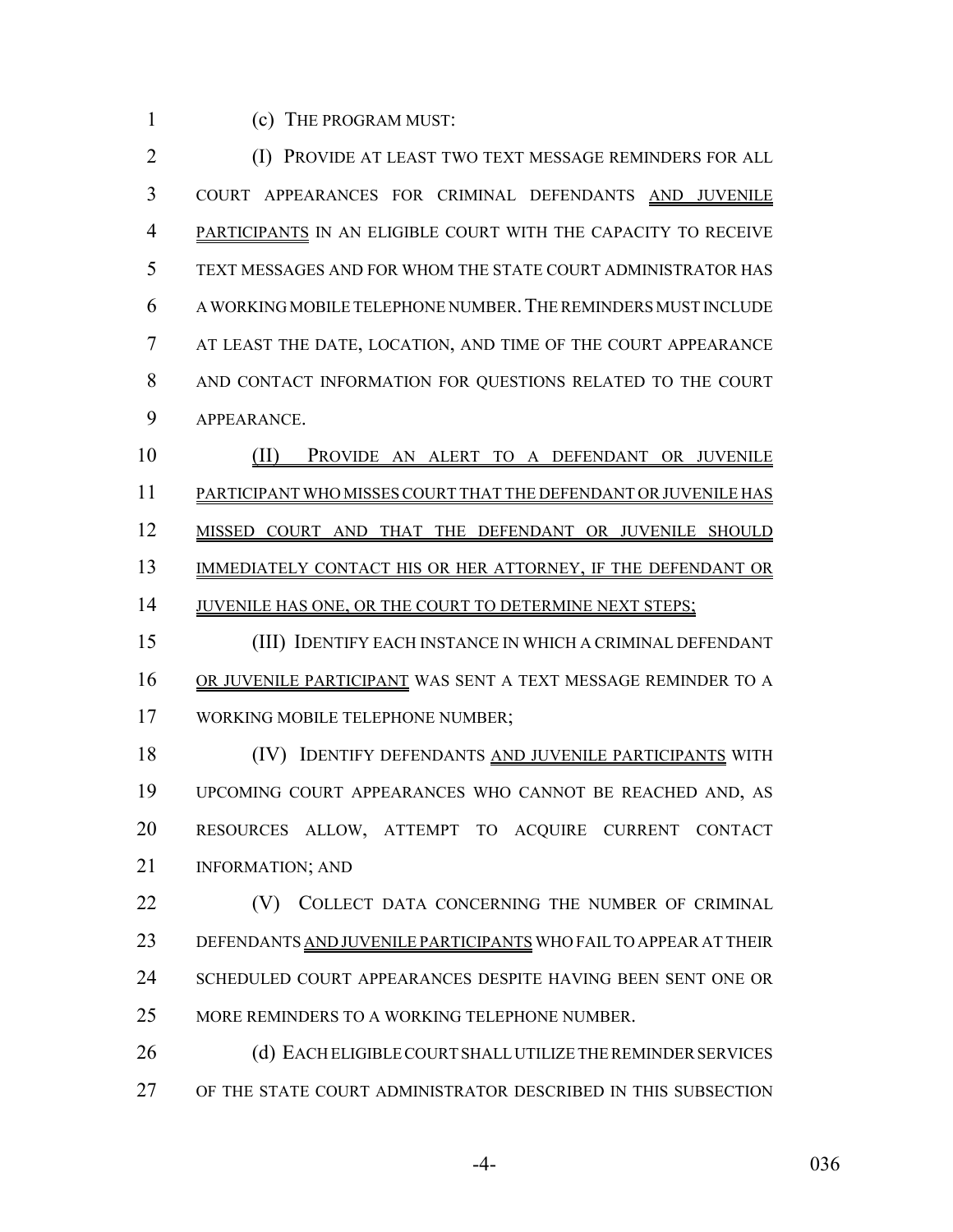(c) THE PROGRAM MUST:

 (I) PROVIDE AT LEAST TWO TEXT MESSAGE REMINDERS FOR ALL COURT APPEARANCES FOR CRIMINAL DEFENDANTS AND JUVENILE PARTICIPANTS IN AN ELIGIBLE COURT WITH THE CAPACITY TO RECEIVE TEXT MESSAGES AND FOR WHOM THE STATE COURT ADMINISTRATOR HAS A WORKING MOBILE TELEPHONE NUMBER.THE REMINDERS MUST INCLUDE AT LEAST THE DATE, LOCATION, AND TIME OF THE COURT APPEARANCE AND CONTACT INFORMATION FOR QUESTIONS RELATED TO THE COURT APPEARANCE.

 (II) PROVIDE AN ALERT TO A DEFENDANT OR JUVENILE PARTICIPANT WHO MISSES COURT THAT THE DEFENDANT OR JUVENILE HAS MISSED COURT AND THAT THE DEFENDANT OR JUVENILE SHOULD 13 IMMEDIATELY CONTACT HIS OR HER ATTORNEY, IF THE DEFENDANT OR 14 JUVENILE HAS ONE, OR THE COURT TO DETERMINE NEXT STEPS;

 (III) IDENTIFY EACH INSTANCE IN WHICH A CRIMINAL DEFENDANT OR JUVENILE PARTICIPANT WAS SENT A TEXT MESSAGE REMINDER TO A WORKING MOBILE TELEPHONE NUMBER;

 (IV) IDENTIFY DEFENDANTS AND JUVENILE PARTICIPANTS WITH UPCOMING COURT APPEARANCES WHO CANNOT BE REACHED AND, AS RESOURCES ALLOW, ATTEMPT TO ACQUIRE CURRENT CONTACT **INFORMATION: AND** 

**(V)** COLLECT DATA CONCERNING THE NUMBER OF CRIMINAL 23 DEFENDANTS AND JUVENILE PARTICIPANTS WHO FAIL TO APPEAR AT THEIR SCHEDULED COURT APPEARANCES DESPITE HAVING BEEN SENT ONE OR MORE REMINDERS TO A WORKING TELEPHONE NUMBER.

26 (d) EACH ELIGIBLE COURT SHALL UTILIZE THE REMINDER SERVICES OF THE STATE COURT ADMINISTRATOR DESCRIBED IN THIS SUBSECTION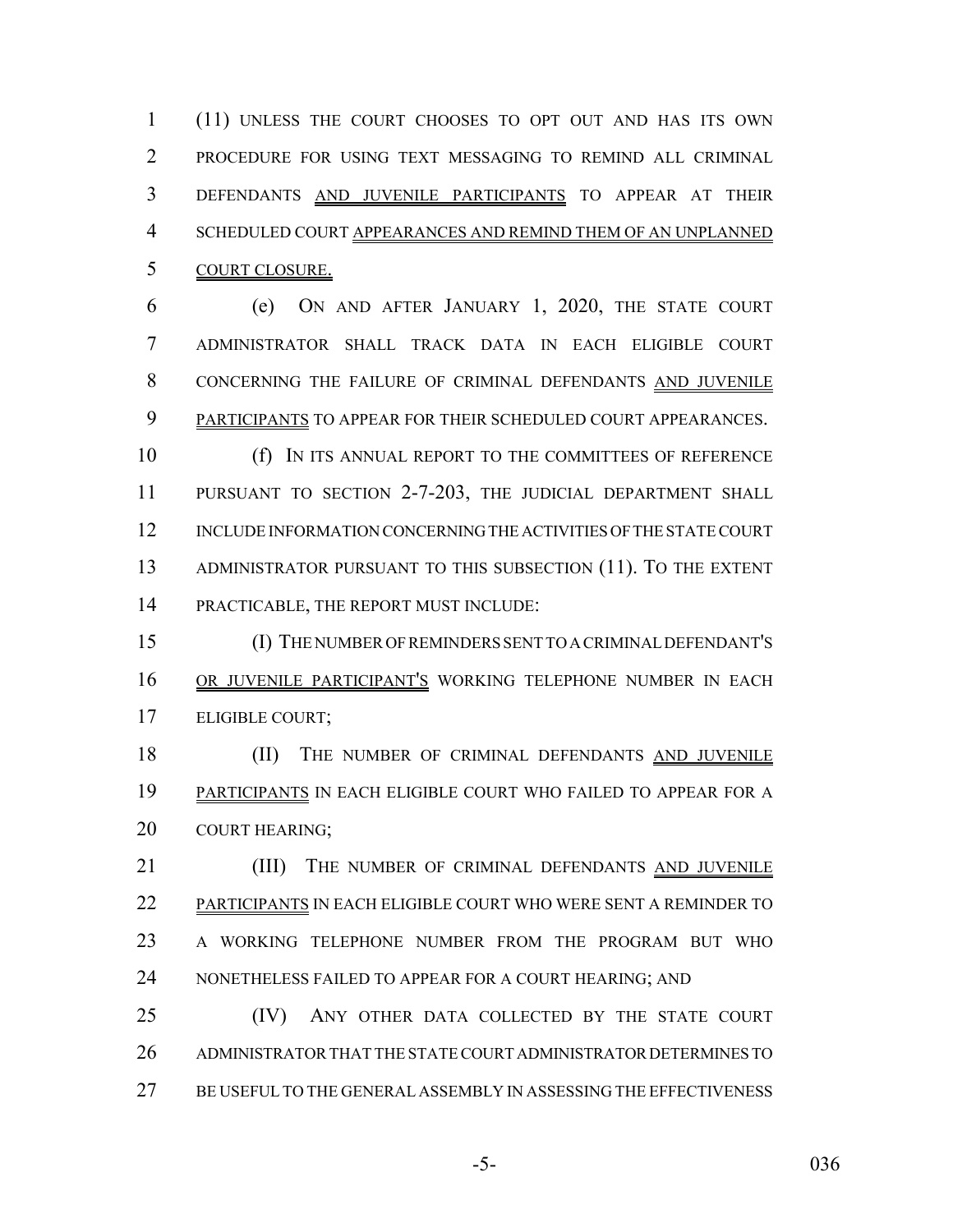(11) UNLESS THE COURT CHOOSES TO OPT OUT AND HAS ITS OWN PROCEDURE FOR USING TEXT MESSAGING TO REMIND ALL CRIMINAL DEFENDANTS AND JUVENILE PARTICIPANTS TO APPEAR AT THEIR SCHEDULED COURT APPEARANCES AND REMIND THEM OF AN UNPLANNED COURT CLOSURE.

 (e) ON AND AFTER JANUARY 1, 2020, THE STATE COURT ADMINISTRATOR SHALL TRACK DATA IN EACH ELIGIBLE COURT CONCERNING THE FAILURE OF CRIMINAL DEFENDANTS AND JUVENILE PARTICIPANTS TO APPEAR FOR THEIR SCHEDULED COURT APPEARANCES.

 (f) IN ITS ANNUAL REPORT TO THE COMMITTEES OF REFERENCE PURSUANT TO SECTION 2-7-203, THE JUDICIAL DEPARTMENT SHALL INCLUDE INFORMATION CONCERNING THE ACTIVITIES OF THE STATE COURT ADMINISTRATOR PURSUANT TO THIS SUBSECTION (11). TO THE EXTENT PRACTICABLE, THE REPORT MUST INCLUDE:

 (I) THE NUMBER OF REMINDERS SENT TO A CRIMINAL DEFENDANT'S 16 OR JUVENILE PARTICIPANT'S WORKING TELEPHONE NUMBER IN EACH ELIGIBLE COURT;

18 (II) THE NUMBER OF CRIMINAL DEFENDANTS AND JUVENILE PARTICIPANTS IN EACH ELIGIBLE COURT WHO FAILED TO APPEAR FOR A COURT HEARING;

21 (III) THE NUMBER OF CRIMINAL DEFENDANTS AND JUVENILE PARTICIPANTS IN EACH ELIGIBLE COURT WHO WERE SENT A REMINDER TO A WORKING TELEPHONE NUMBER FROM THE PROGRAM BUT WHO 24 NONETHELESS FAILED TO APPEAR FOR A COURT HEARING; AND

 (IV) ANY OTHER DATA COLLECTED BY THE STATE COURT ADMINISTRATOR THAT THE STATE COURT ADMINISTRATOR DETERMINES TO BE USEFUL TO THE GENERAL ASSEMBLY IN ASSESSING THE EFFECTIVENESS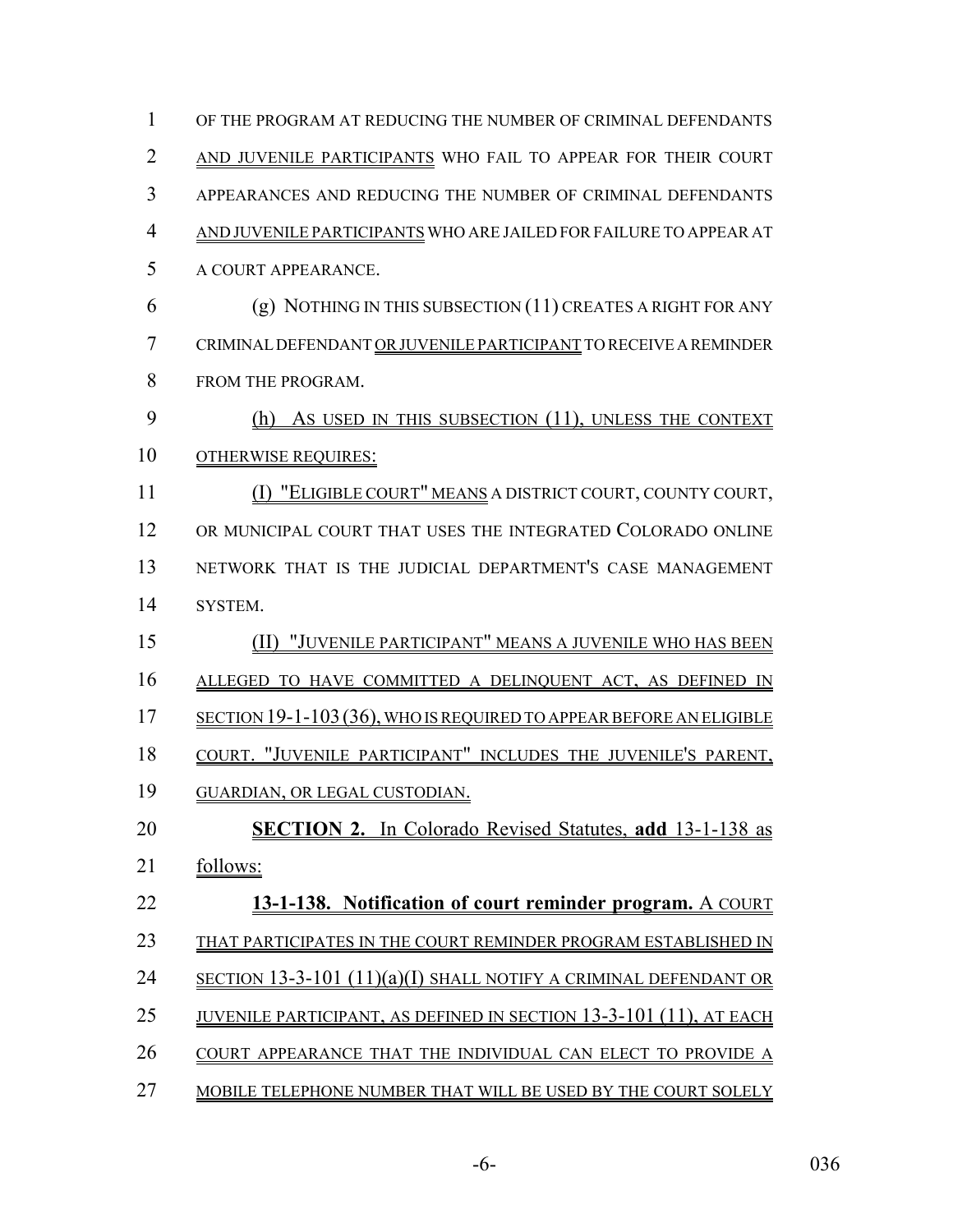| $\mathbf{1}$   | OF THE PROGRAM AT REDUCING THE NUMBER OF CRIMINAL DEFENDANTS               |
|----------------|----------------------------------------------------------------------------|
| $\overline{2}$ | AND JUVENILE PARTICIPANTS WHO FAIL TO APPEAR FOR THEIR COURT               |
| 3              | APPEARANCES AND REDUCING THE NUMBER OF CRIMINAL DEFENDANTS                 |
| $\overline{4}$ | AND JUVENILE PARTICIPANTS WHO ARE JAILED FOR FAILURE TO APPEAR AT          |
| 5              | A COURT APPEARANCE.                                                        |
| 6              | $(g)$ NOTHING IN THIS SUBSECTION $(11)$ CREATES A RIGHT FOR ANY            |
| 7              | CRIMINAL DEFENDANT OR JUVENILE PARTICIPANT TO RECEIVE A REMINDER           |
| 8              | FROM THE PROGRAM.                                                          |
| 9              | (h) As USED IN THIS SUBSECTION (11), UNLESS THE CONTEXT                    |
| 10             | <b>OTHERWISE REQUIRES:</b>                                                 |
| 11             | (I) "ELIGIBLE COURT" MEANS A DISTRICT COURT, COUNTY COURT,                 |
| 12             | OR MUNICIPAL COURT THAT USES THE INTEGRATED COLORADO ONLINE                |
| 13             | NETWORK THAT IS THE JUDICIAL DEPARTMENT'S CASE MANAGEMENT                  |
| 14             | SYSTEM.                                                                    |
| 15             | (II) "JUVENILE PARTICIPANT" MEANS A JUVENILE WHO HAS BEEN                  |
| 16             | ALLEGED TO HAVE COMMITTED A DELINQUENT ACT, AS DEFINED IN                  |
| 17             | <u>SECTION 19-1-103 (36), WHO IS REQUIRED TO APPEAR BEFORE AN ELIGIBLE</u> |
| 18             | COURT. "JUVENILE PARTICIPANT" INCLUDES THE JUVENILE'S PARENT,              |
| 19             | <b>GUARDIAN, OR LEGAL CUSTODIAN.</b>                                       |
| 20             | <b>SECTION 2.</b> In Colorado Revised Statutes, add 13-1-138 as            |
| 21             | follows:                                                                   |
| 22             | 13-1-138. Notification of court reminder program. A COURT                  |
| 23             | THAT PARTICIPATES IN THE COURT REMINDER PROGRAM ESTABLISHED IN             |
| 24             | SECTION 13-3-101 (11)(a)(I) SHALL NOTIFY A CRIMINAL DEFENDANT OR           |
| 25             | <u>juvenile participant, as defined in section 13-3-101 (11), at each</u>  |
| 26             | COURT APPEARANCE THAT THE INDIVIDUAL CAN ELECT TO PROVIDE A                |
| 27             | MOBILE TELEPHONE NUMBER THAT WILL BE USED BY THE COURT SOLELY              |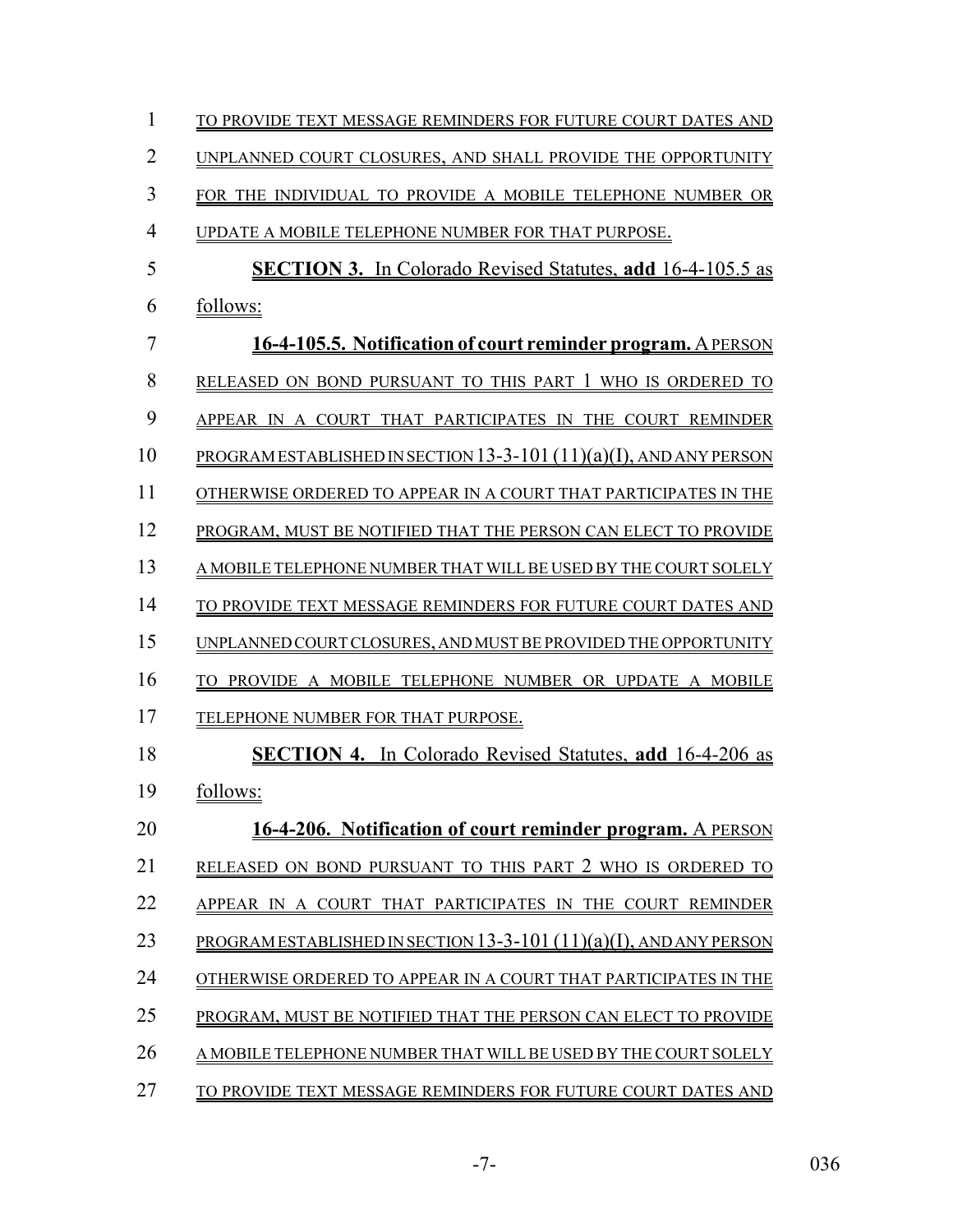| 1              | TO PROVIDE TEXT MESSAGE REMINDERS FOR FUTURE COURT DATES AND          |
|----------------|-----------------------------------------------------------------------|
| $\overline{2}$ | UNPLANNED COURT CLOSURES, AND SHALL PROVIDE THE OPPORTUNITY           |
| 3              | FOR THE INDIVIDUAL TO PROVIDE A MOBILE TELEPHONE NUMBER OR            |
| $\overline{4}$ | UPDATE A MOBILE TELEPHONE NUMBER FOR THAT PURPOSE.                    |
| 5              | <b>SECTION 3.</b> In Colorado Revised Statutes, add 16-4-105.5 as     |
| 6              | follows:                                                              |
| 7              | 16-4-105.5. Notification of court reminder program. A PERSON          |
| 8              | RELEASED ON BOND PURSUANT TO THIS PART 1 WHO IS ORDERED TO            |
| 9              | APPEAR IN A COURT THAT PARTICIPATES IN THE COURT REMINDER             |
| 10             | PROGRAM ESTABLISHED IN SECTION 13-3-101 (11)(a)(I), AND ANY PERSON    |
| 11             | OTHERWISE ORDERED TO APPEAR IN A COURT THAT PARTICIPATES IN THE       |
| 12             | PROGRAM, MUST BE NOTIFIED THAT THE PERSON CAN ELECT TO PROVIDE        |
| 13             | A MOBILE TELEPHONE NUMBER THAT WILL BE USED BY THE COURT SOLELY       |
| 14             | TO PROVIDE TEXT MESSAGE REMINDERS FOR FUTURE COURT DATES AND          |
| 15             | UNPLANNED COURT CLOSURES, AND MUST BE PROVIDED THE OPPORTUNITY        |
| 16             | PROVIDE A MOBILE TELEPHONE NUMBER OR UPDATE A MOBILE<br>TO.           |
| 17             | TELEPHONE NUMBER FOR THAT PURPOSE.                                    |
| 18             | <b>SECTION 4.</b> In Colorado Revised Statutes, add 16-4-206 as       |
| 19             | follows:                                                              |
| 20             | 16-4-206. Notification of court reminder program. A PERSON            |
| 21             | RELEASED ON BOND PURSUANT TO THIS PART 2 WHO IS ORDERED TO            |
| 22             | APPEAR IN A COURT THAT PARTICIPATES IN THE COURT REMINDER             |
| 23             | PROGRAM ESTABLISHED IN SECTION 13-3-101 $(11)(a)(I)$ , AND ANY PERSON |
| 24             | OTHERWISE ORDERED TO APPEAR IN A COURT THAT PARTICIPATES IN THE       |
| 25             | PROGRAM, MUST BE NOTIFIED THAT THE PERSON CAN ELECT TO PROVIDE        |
| 26             | A MOBILE TELEPHONE NUMBER THAT WILL BE USED BY THE COURT SOLELY       |
| 27             | TO PROVIDE TEXT MESSAGE REMINDERS FOR FUTURE COURT DATES AND          |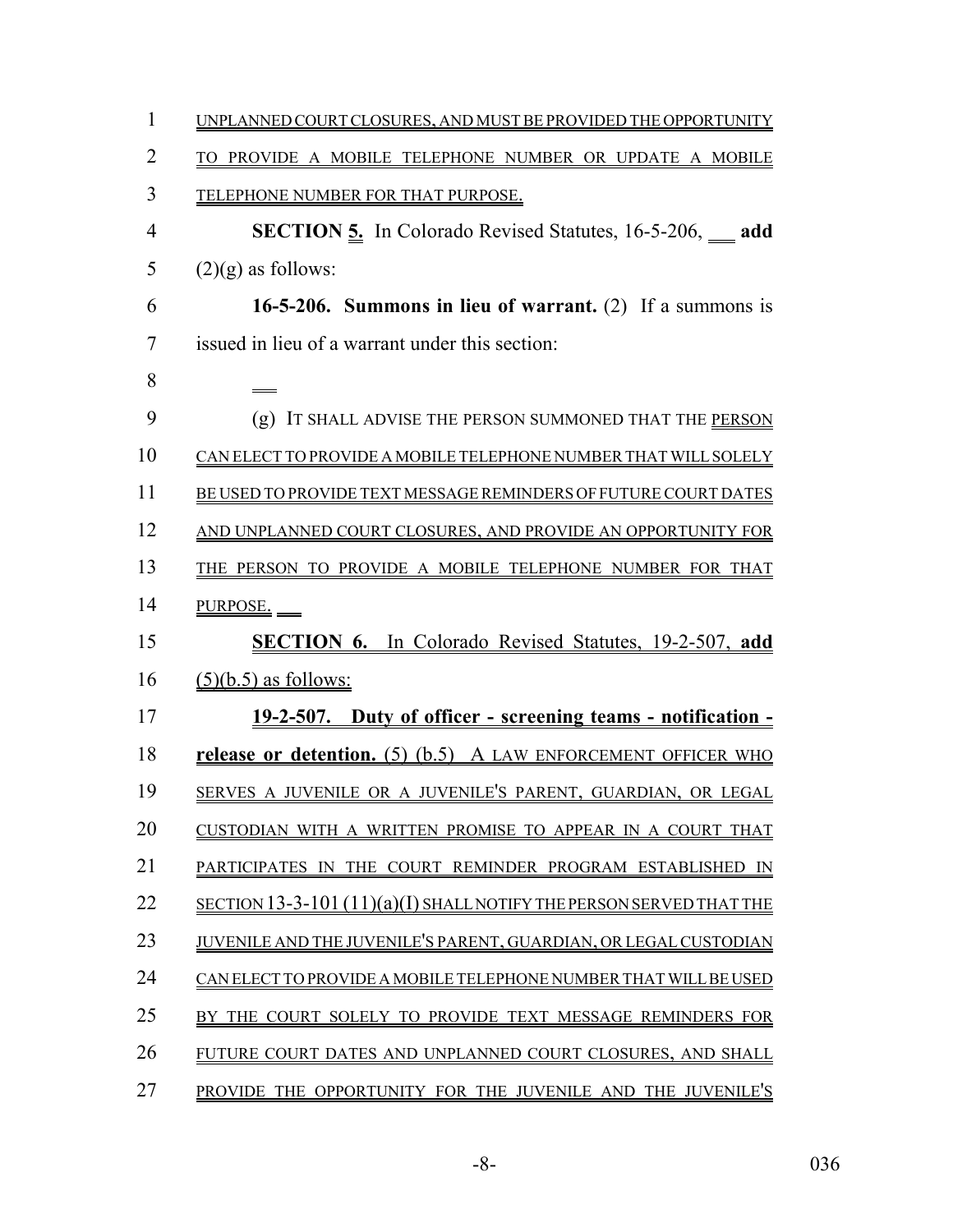| $\mathbf{1}$   | UNPLANNED COURT CLOSURES, AND MUST BE PROVIDED THE OPPORTUNITY       |
|----------------|----------------------------------------------------------------------|
| $\overline{2}$ | TO PROVIDE A MOBILE TELEPHONE NUMBER OR UPDATE A MOBILE              |
| 3              | TELEPHONE NUMBER FOR THAT PURPOSE.                                   |
| 4              | <b>SECTION 5.</b> In Colorado Revised Statutes, 16-5-206, add        |
| 5              | $(2)(g)$ as follows:                                                 |
| 6              | 16-5-206. Summons in lieu of warrant. (2) If a summons is            |
| 7              | issued in lieu of a warrant under this section:                      |
| 8              |                                                                      |
| 9              | (g) IT SHALL ADVISE THE PERSON SUMMONED THAT THE PERSON              |
| 10             | CAN ELECT TO PROVIDE A MOBILE TELEPHONE NUMBER THAT WILL SOLELY      |
| 11             | BE USED TO PROVIDE TEXT MESSAGE REMINDERS OF FUTURE COURT DATES      |
| 12             | AND UNPLANNED COURT CLOSURES, AND PROVIDE AN OPPORTUNITY FOR         |
| 13             | THE PERSON TO PROVIDE A MOBILE TELEPHONE NUMBER FOR THAT             |
| 14             | PURPOSE.                                                             |
| 15             | <b>SECTION 6.</b> In Colorado Revised Statutes, 19-2-507, add        |
| 16             | $(5)(b.5)$ as follows:                                               |
| 17             | <u>19-2-507. Duty of officer - screening teams - notification -</u>  |
| 18             | release or detention. (5) (b.5) A LAW ENFORCEMENT OFFICER WHO        |
| 19             | SERVES A JUVENILE OR A JUVENILE'S PARENT, GUARDIAN, OR LEGAL         |
| 20             | CUSTODIAN WITH A WRITTEN PROMISE TO APPEAR IN A COURT THAT           |
| 21             | PARTICIPATES IN THE COURT REMINDER PROGRAM ESTABLISHED IN            |
| 22             | SECTION 13-3-101 $(11)(a)(I)$ SHALLNOTIFY THE PERSON SERVED THAT THE |
| 23             | JUVENILE AND THE JUVENILE'S PARENT, GUARDIAN, OR LEGAL CUSTODIAN     |
| 24             | CAN ELECT TO PROVIDE A MOBILE TELEPHONE NUMBER THAT WILL BE USED     |
| 25             | BY THE COURT SOLELY TO PROVIDE TEXT MESSAGE REMINDERS FOR            |
| 26             | FUTURE COURT DATES AND UNPLANNED COURT CLOSURES, AND SHALL           |
| 27             | PROVIDE THE OPPORTUNITY FOR THE JUVENILE AND THE JUVENILE'S          |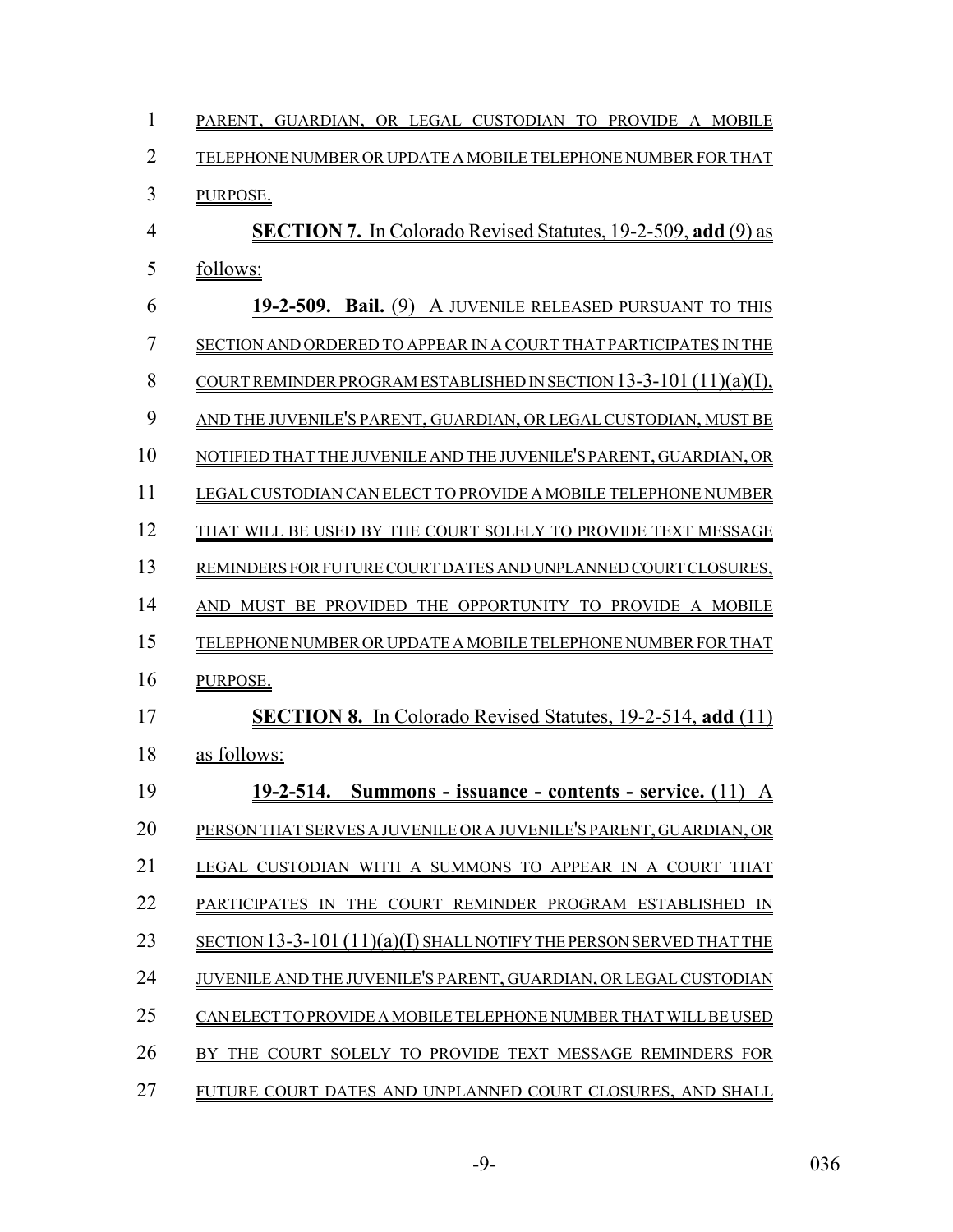| 1  | PARENT, GUARDIAN, OR LEGAL CUSTODIAN TO<br>PROVIDE A MOBILE                                                |
|----|------------------------------------------------------------------------------------------------------------|
| 2  | TELEPHONE NUMBER OR UPDATE A MOBILE TELEPHONE NUMBER FOR THAT                                              |
| 3  | PURPOSE.                                                                                                   |
| 4  | <b>SECTION 7.</b> In Colorado Revised Statutes, 19-2-509, add (9) as                                       |
| 5  | follows:                                                                                                   |
| 6  | 19-2-509. Bail. (9) A JUVENILE RELEASED PURSUANT TO THIS                                                   |
| 7  | SECTION AND ORDERED TO APPEAR IN A COURT THAT PARTICIPATES IN THE                                          |
| 8  | COURT REMINDER PROGRAM ESTABLISHED IN SECTION $13-3-101(11)(a)(1)$ .                                       |
| 9  | AND THE JUVENILE'S PARENT, GUARDIAN, OR LEGAL CUSTODIAN, MUST BE                                           |
| 10 | NOTIFIED THAT THE JUVENILE AND THE JUVENILE'S PARENT, GUARDIAN, OR                                         |
| 11 | LEGAL CUSTODIAN CAN ELECT TO PROVIDE A MOBILE TELEPHONE NUMBER                                             |
| 12 | THAT WILL BE USED BY THE COURT SOLELY TO PROVIDE TEXT MESSAGE                                              |
| 13 | REMINDERS FOR FUTURE COURT DATES AND UNPLANNED COURT CLOSURES.                                             |
| 14 | OPPORTUNITY TO PROVIDE A MOBILE<br><b>AND</b><br><b>MUST</b><br><b>BE</b><br><b>PROVIDED</b><br><b>THE</b> |
| 15 | TELEPHONE NUMBER OR UPDATE A MOBILE TELEPHONE NUMBER FOR THAT                                              |
| 16 | PURPOSE.                                                                                                   |
| 17 | <b>SECTION 8.</b> In Colorado Revised Statutes, 19-2-514, add (11)                                         |
| 18 | as follows:                                                                                                |
| 19 | <u> 19-2-514. Summons - issuance - contents - service. (11) A</u>                                          |
| 20 | PERSON THAT SERVES A JUVENILE OR A JUVENILE'S PARENT, GUARDIAN, OR                                         |
| 21 | LEGAL CUSTODIAN WITH A SUMMONS TO APPEAR IN A COURT THAT                                                   |
| 22 | PARTICIPATES IN THE COURT REMINDER PROGRAM ESTABLISHED IN                                                  |
| 23 | $SECTION 13-3-101 (11)(a)(I)$ SHALL NOTIFY THE PERSON SERVED THAT THE                                      |
| 24 | JUVENILE AND THE JUVENILE'S PARENT, GUARDIAN, OR LEGAL CUSTODIAN                                           |
| 25 | CAN ELECT TO PROVIDE A MOBILE TELEPHONE NUMBER THAT WILL BE USED                                           |
| 26 | BY THE COURT SOLELY TO PROVIDE TEXT MESSAGE REMINDERS FOR                                                  |
| 27 | FUTURE COURT DATES AND UNPLANNED COURT CLOSURES, AND SHALL                                                 |